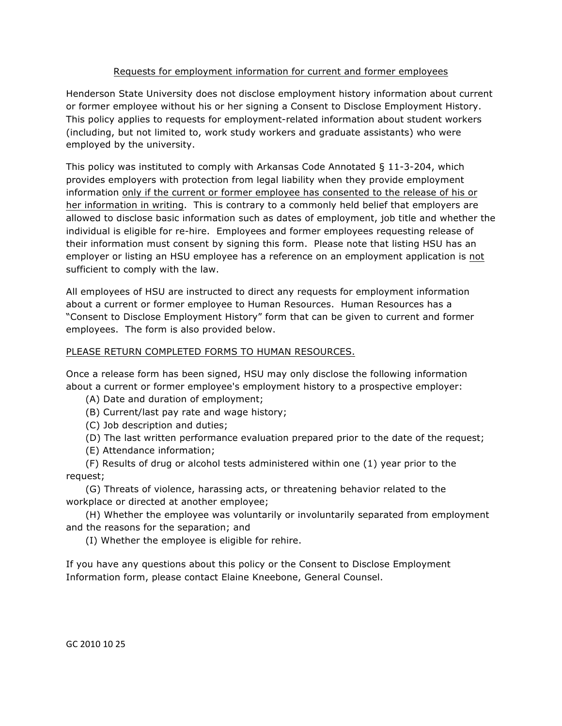## Requests for employment information for current and former employees

Henderson State University does not disclose employment history information about current or former employee without his or her signing a Consent to Disclose Employment History. This policy applies to requests for employment-related information about student workers (including, but not limited to, work study workers and graduate assistants) who were employed by the university.

This policy was instituted to comply with Arkansas Code Annotated § 11-3-204, which provides employers with protection from legal liability when they provide employment information only if the current or former employee has consented to the release of his or her information in writing. This is contrary to a commonly held belief that employers are allowed to disclose basic information such as dates of employment, job title and whether the individual is eligible for re-hire. Employees and former employees requesting release of their information must consent by signing this form. Please note that listing HSU has an employer or listing an HSU employee has a reference on an employment application is not sufficient to comply with the law.

All employees of HSU are instructed to direct any requests for employment information about a current or former employee to Human Resources. Human Resources has a "Consent to Disclose Employment History" form that can be given to current and former employees. The form is also provided below.

## PLEASE RETURN COMPLETED FORMS TO HUMAN RESOURCES.

Once a release form has been signed, HSU may only disclose the following information about a current or former employee's employment history to a prospective employer:

- (A) Date and duration of employment;
- (B) Current/last pay rate and wage history;
- (C) Job description and duties;
- (D) The last written performance evaluation prepared prior to the date of the request;
- (E) Attendance information;

 (F) Results of drug or alcohol tests administered within one (1) year prior to the request;

 (G) Threats of violence, harassing acts, or threatening behavior related to the workplace or directed at another employee;

 (H) Whether the employee was voluntarily or involuntarily separated from employment and the reasons for the separation; and

(I) Whether the employee is eligible for rehire.

If you have any questions about this policy or the Consent to Disclose Employment Information form, please contact Elaine Kneebone, General Counsel.